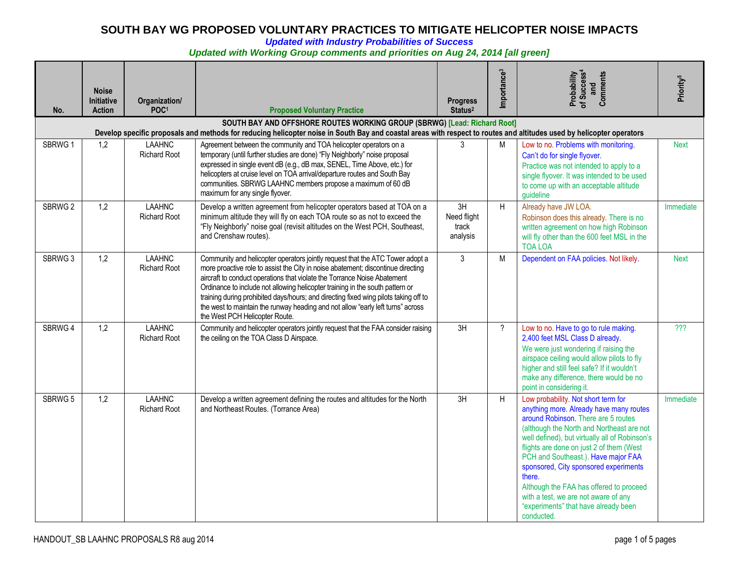*Updated with Industry Probabilities of Success* 

*Updated with Working Group comments and priorities on Aug 24, 2014 [all green]*

| No.     | <b>Noise</b><br>Initiative<br><b>Action</b>                                                                                                                                                                                                       | Organization/<br>POC <sup>1</sup>    | <b>Proposed Voluntary Practice</b>                                                                                                                                                                                                                                                                                                                                                                                                                                                                                                          | <b>Progress</b><br>Status <sup>2</sup> | Importance <sup>3</sup> | Probability<br>of Success <sup>4</sup><br>and<br>Comments                                                                                                                                                                                                                                                                                                                                                                                                                                           | Priority <sup>5</sup> |  |  |
|---------|---------------------------------------------------------------------------------------------------------------------------------------------------------------------------------------------------------------------------------------------------|--------------------------------------|---------------------------------------------------------------------------------------------------------------------------------------------------------------------------------------------------------------------------------------------------------------------------------------------------------------------------------------------------------------------------------------------------------------------------------------------------------------------------------------------------------------------------------------------|----------------------------------------|-------------------------|-----------------------------------------------------------------------------------------------------------------------------------------------------------------------------------------------------------------------------------------------------------------------------------------------------------------------------------------------------------------------------------------------------------------------------------------------------------------------------------------------------|-----------------------|--|--|
|         | SOUTH BAY AND OFFSHORE ROUTES WORKING GROUP (SBRWG) [Lead: Richard Root]<br>Develop specific proposals and methods for reducing helicopter noise in South Bay and coastal areas with respect to routes and altitudes used by helicopter operators |                                      |                                                                                                                                                                                                                                                                                                                                                                                                                                                                                                                                             |                                        |                         |                                                                                                                                                                                                                                                                                                                                                                                                                                                                                                     |                       |  |  |
| SBRWG 1 | 1,2                                                                                                                                                                                                                                               | <b>LAAHNC</b><br><b>Richard Root</b> | Agreement between the community and TOA helicopter operators on a<br>temporary (until further studies are done) "Fly Neighborly" noise proposal<br>expressed in single event dB (e.g., dB max, SENEL, Time Above, etc.) for<br>helicopters at cruise level on TOA arrival/departure routes and South Bay<br>communities. SBRWG LAAHNC members propose a maximum of 60 dB<br>maximum for any single flyover.                                                                                                                                 |                                        | M                       | Low to no. Problems with monitoring.<br>Can't do for single flyover.<br>Practice was not intended to apply to a<br>single flyover. It was intended to be used<br>to come up with an acceptable altitude<br>guideline                                                                                                                                                                                                                                                                                | <b>Next</b>           |  |  |
| SBRWG 2 | 1,2                                                                                                                                                                                                                                               | <b>LAAHNC</b><br><b>Richard Root</b> | Develop a written agreement from helicopter operators based at TOA on a<br>minimum altitude they will fly on each TOA route so as not to exceed the<br>"Fly Neighborly" noise goal (revisit altitudes on the West PCH, Southeast,<br>and Crenshaw routes).                                                                                                                                                                                                                                                                                  | 3H<br>Need flight<br>track<br>analysis | H                       | Already have JW LOA.<br>Robinson does this already. There is no<br>written agreement on how high Robinson<br>will fly other than the 600 feet MSL in the<br><b>TOA LOA</b>                                                                                                                                                                                                                                                                                                                          | Immediate             |  |  |
| SBRWG 3 | 1,2                                                                                                                                                                                                                                               | <b>LAAHNC</b><br>Richard Root        | Community and helicopter operators jointly request that the ATC Tower adopt a<br>more proactive role to assist the City in noise abatement; discontinue directing<br>aircraft to conduct operations that violate the Torrance Noise Abatement<br>Ordinance to include not allowing helicopter training in the south pattern or<br>training during prohibited days/hours; and directing fixed wing pilots taking off to<br>the west to maintain the runway heading and not allow "early left turns" across<br>the West PCH Helicopter Route. | $\mathfrak{Z}$                         | M                       | Dependent on FAA policies. Not likely.                                                                                                                                                                                                                                                                                                                                                                                                                                                              | <b>Next</b>           |  |  |
| SBRWG 4 | 1,2                                                                                                                                                                                                                                               | <b>LAAHNC</b><br><b>Richard Root</b> | Community and helicopter operators jointly request that the FAA consider raising<br>the ceiling on the TOA Class D Airspace.                                                                                                                                                                                                                                                                                                                                                                                                                | 3H                                     | $\overline{?}$          | Low to no. Have to go to rule making.<br>2,400 feet MSL Class D already.<br>We were just wondering if raising the<br>airspace ceiling would allow pilots to fly<br>higher and still feel safe? If it wouldn't<br>make any difference, there would be no<br>point in considering it.                                                                                                                                                                                                                 | 722                   |  |  |
| SBRWG 5 | 1,2                                                                                                                                                                                                                                               | <b>LAAHNC</b><br><b>Richard Root</b> | Develop a written agreement defining the routes and altitudes for the North<br>and Northeast Routes. (Torrance Area)                                                                                                                                                                                                                                                                                                                                                                                                                        | 3H                                     | H                       | Low probability. Not short term for<br>anything more. Already have many routes<br>around Robinson. There are 5 routes<br>(although the North and Northeast are not<br>well defined), but virtually all of Robinson's<br>flights are done on just 2 of them (West<br>PCH and Southeast.). Have major FAA<br>sponsored, City sponsored experiments<br>there.<br>Although the FAA has offered to proceed<br>with a test, we are not aware of any<br>"experiments" that have already been<br>conducted. | Immediate             |  |  |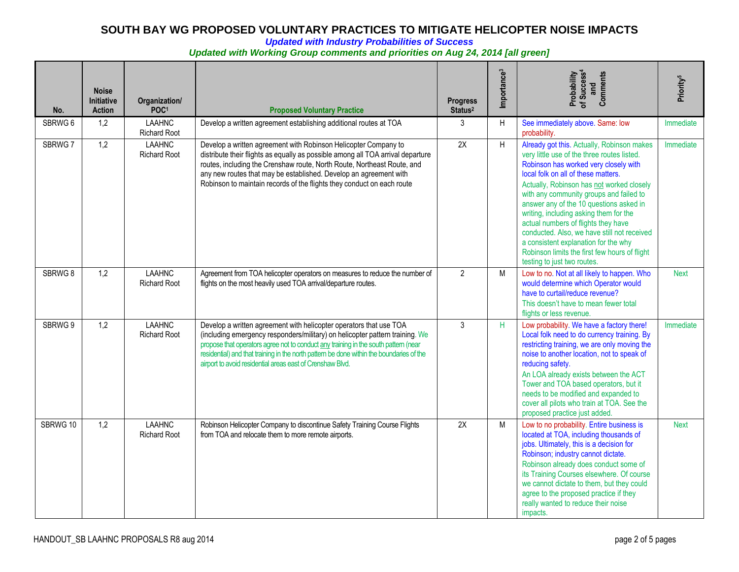*Updated with Industry Probabilities of Success* 

#### *Updated with Working Group comments and priorities on Aug 24, 2014 [all green]*

| No.      | <b>Noise</b><br><b>Initiative</b><br><b>Action</b> | Organization/<br>POC <sup>1</sup>    | <b>Proposed Voluntary Practice</b>                                                                                                                                                                                                                                                                                                                                                                 | <b>Progress</b><br>Status <sup>2</sup> | Importance <sup>3</sup> | Probability<br>of Success <sup>4</sup><br>Comments<br>and                                                                                                                                                                                                                                                                                                                                                                                                                                                                                                            | Priority <sup>5</sup> |
|----------|----------------------------------------------------|--------------------------------------|----------------------------------------------------------------------------------------------------------------------------------------------------------------------------------------------------------------------------------------------------------------------------------------------------------------------------------------------------------------------------------------------------|----------------------------------------|-------------------------|----------------------------------------------------------------------------------------------------------------------------------------------------------------------------------------------------------------------------------------------------------------------------------------------------------------------------------------------------------------------------------------------------------------------------------------------------------------------------------------------------------------------------------------------------------------------|-----------------------|
| SBRWG 6  | 1,2                                                | <b>LAAHNC</b><br><b>Richard Root</b> | Develop a written agreement establishing additional routes at TOA                                                                                                                                                                                                                                                                                                                                  | 3                                      | $\overline{H}$          | See immediately above. Same: low<br>probability.                                                                                                                                                                                                                                                                                                                                                                                                                                                                                                                     | Immediate             |
| SBRWG 7  | 1,2                                                | <b>LAAHNC</b><br><b>Richard Root</b> | Develop a written agreement with Robinson Helicopter Company to<br>distribute their flights as equally as possible among all TOA arrival departure<br>routes, including the Crenshaw route, North Route, Northeast Route, and<br>any new routes that may be established. Develop an agreement with<br>Robinson to maintain records of the flights they conduct on each route                       | 2X                                     | H                       | Already got this. Actually, Robinson makes<br>very little use of the three routes listed.<br>Robinson has worked very closely with<br>local folk on all of these matters.<br>Actually, Robinson has not worked closely<br>with any community groups and failed to<br>answer any of the 10 questions asked in<br>writing, including asking them for the<br>actual numbers of flights they have<br>conducted. Also, we have still not received<br>a consistent explanation for the why<br>Robinson limits the first few hours of flight<br>testing to just two routes. | Immediate             |
| SBRWG 8  | 1,2                                                | <b>LAAHNC</b><br><b>Richard Root</b> | Agreement from TOA helicopter operators on measures to reduce the number of<br>flights on the most heavily used TOA arrival/departure routes.                                                                                                                                                                                                                                                      | $\overline{2}$                         | M                       | Low to no. Not at all likely to happen. Who<br>would determine which Operator would<br>have to curtail/reduce revenue?<br>This doesn't have to mean fewer total<br>flights or less revenue.                                                                                                                                                                                                                                                                                                                                                                          | <b>Next</b>           |
| SBRWG 9  | 1,2                                                | <b>LAAHNC</b><br><b>Richard Root</b> | Develop a written agreement with helicopter operators that use TOA<br>(including emergency responders/military) on helicopter pattern training. We<br>propose that operators agree not to conduct any training in the south pattern (near<br>residential) and that training in the north pattern be done within the boundaries of the<br>airport to avoid residential areas east of Crenshaw Blvd. | 3                                      | H                       | Low probability. We have a factory there!<br>Local folk need to do currency training. By<br>restricting training, we are only moving the<br>noise to another location, not to speak of<br>reducing safety.<br>An LOA already exists between the ACT<br>Tower and TOA based operators, but it<br>needs to be modified and expanded to<br>cover all pilots who train at TOA. See the<br>proposed practice just added.                                                                                                                                                  | Immediate             |
| SBRWG 10 | 1,2                                                | <b>LAAHNC</b><br><b>Richard Root</b> | Robinson Helicopter Company to discontinue Safety Training Course Flights<br>from TOA and relocate them to more remote airports.                                                                                                                                                                                                                                                                   | 2X                                     | M                       | Low to no probability. Entire business is<br>located at TOA, including thousands of<br>jobs. Ultimately, this is a decision for<br>Robinson; industry cannot dictate.<br>Robinson already does conduct some of<br>its Training Courses elsewhere. Of course<br>we cannot dictate to them, but they could<br>agree to the proposed practice if they<br>really wanted to reduce their noise<br>impacts.                                                                                                                                                                | <b>Next</b>           |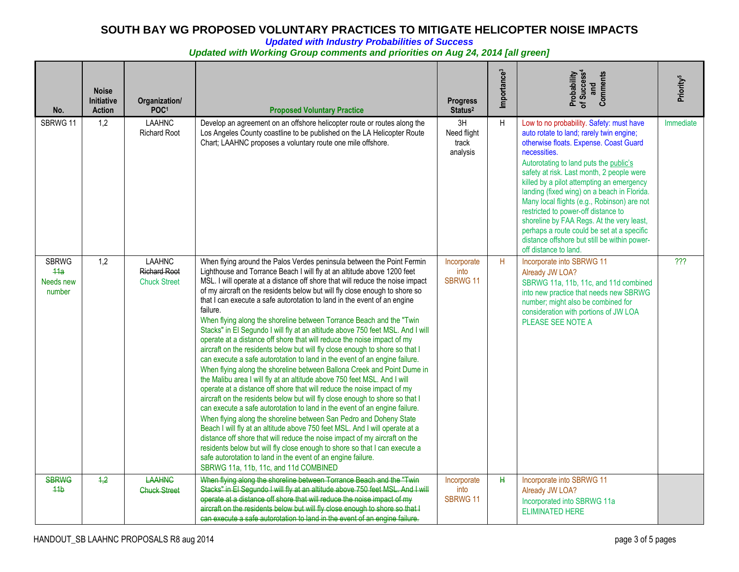*Updated with Industry Probabilities of Success* 

#### *Updated with Working Group comments and priorities on Aug 24, 2014 [all green]*

| No.                                        | <b>Noise</b><br><b>Initiative</b><br><b>Action</b> | Organization/<br>POC <sup>1</sup>                           | <b>Proposed Voluntary Practice</b>                                                                                                                                                                                                                                                                                                                                                                                                                                                                                                                                                                                                                                                                                                                                                                                                                                                                                                                                                                                                                                                                                                                                                                                                                                                                                                                                                                                                                                                                                                                                                                                                     | <b>Progress</b><br>Status <sup>2</sup> | Importance <sup>3</sup> | Probability<br>of Success <sup>4</sup><br>and<br>Comments                                                                                                                                                                                                                                                                                                                                                                                                                                                                                                                                   | Priority <sup>5</sup> |
|--------------------------------------------|----------------------------------------------------|-------------------------------------------------------------|----------------------------------------------------------------------------------------------------------------------------------------------------------------------------------------------------------------------------------------------------------------------------------------------------------------------------------------------------------------------------------------------------------------------------------------------------------------------------------------------------------------------------------------------------------------------------------------------------------------------------------------------------------------------------------------------------------------------------------------------------------------------------------------------------------------------------------------------------------------------------------------------------------------------------------------------------------------------------------------------------------------------------------------------------------------------------------------------------------------------------------------------------------------------------------------------------------------------------------------------------------------------------------------------------------------------------------------------------------------------------------------------------------------------------------------------------------------------------------------------------------------------------------------------------------------------------------------------------------------------------------------|----------------------------------------|-------------------------|---------------------------------------------------------------------------------------------------------------------------------------------------------------------------------------------------------------------------------------------------------------------------------------------------------------------------------------------------------------------------------------------------------------------------------------------------------------------------------------------------------------------------------------------------------------------------------------------|-----------------------|
| SBRWG 11                                   | 1,2                                                | <b>LAAHNC</b><br><b>Richard Root</b>                        | Develop an agreement on an offshore helicopter route or routes along the<br>Los Angeles County coastline to be published on the LA Helicopter Route<br>Chart; LAAHNC proposes a voluntary route one mile offshore.                                                                                                                                                                                                                                                                                                                                                                                                                                                                                                                                                                                                                                                                                                                                                                                                                                                                                                                                                                                                                                                                                                                                                                                                                                                                                                                                                                                                                     | 3H<br>Need flight<br>track<br>analysis | H                       | Low to no probability. Safety: must have<br>auto rotate to land; rarely twin engine;<br>otherwise floats. Expense. Coast Guard<br>necessities.<br>Autorotating to land puts the public's<br>safety at risk. Last month, 2 people were<br>killed by a pilot attempting an emergency<br>landing (fixed wing) on a beach in Florida.<br>Many local flights (e.g., Robinson) are not<br>restricted to power-off distance to<br>shoreline by FAA Regs. At the very least,<br>perhaps a route could be set at a specific<br>distance offshore but still be within power-<br>off distance to land. | Immediate             |
| <b>SBRWG</b><br>44a<br>Needs new<br>number | 1,2                                                | <b>LAAHNC</b><br><b>Richard Root</b><br><b>Chuck Street</b> | When flying around the Palos Verdes peninsula between the Point Fermin<br>Lighthouse and Torrance Beach I will fly at an altitude above 1200 feet<br>MSL. I will operate at a distance off shore that will reduce the noise impact<br>of my aircraft on the residents below but will fly close enough to shore so<br>that I can execute a safe autorotation to land in the event of an engine<br>failure.<br>When flying along the shoreline between Torrance Beach and the "Twin<br>Stacks" in El Segundo I will fly at an altitude above 750 feet MSL. And I will<br>operate at a distance off shore that will reduce the noise impact of my<br>aircraft on the residents below but will fly close enough to shore so that I<br>can execute a safe autorotation to land in the event of an engine failure.<br>When flying along the shoreline between Ballona Creek and Point Dume in<br>the Malibu area I will fly at an altitude above 750 feet MSL. And I will<br>operate at a distance off shore that will reduce the noise impact of my<br>aircraft on the residents below but will fly close enough to shore so that I<br>can execute a safe autorotation to land in the event of an engine failure.<br>When flying along the shoreline between San Pedro and Doheny State<br>Beach I will fly at an altitude above 750 feet MSL. And I will operate at a<br>distance off shore that will reduce the noise impact of my aircraft on the<br>residents below but will fly close enough to shore so that I can execute a<br>safe autorotation to land in the event of an engine failure.<br>SBRWG 11a, 11b, 11c, and 11d COMBINED | Incorporate<br>into<br><b>SBRWG 11</b> | H                       | Incorporate into SBRWG 11<br>Already JW LOA?<br>SBRWG 11a, 11b, 11c, and 11d combined<br>into new practice that needs new SBRWG<br>number; might also be combined for<br>consideration with portions of JW LOA<br>PLEASE SEE NOTE A                                                                                                                                                                                                                                                                                                                                                         | $\overline{?}$        |
| <b>SBRWG</b><br>44 <sub>b</sub>            | 4,2                                                | <b>LAAHNG</b><br><b>Chuck Street</b>                        | When flying along the shoreline between Torrance Beach and the "Twin<br>Stacks" in El Segundo I will fly at an altitude above 750 feet MSL. And I will<br>operate at a distance off shore that will reduce the noise impact of my<br>aircraft on the residents below but will fly close enough to shore so that I<br>can execute a safe autorotation to land in the event of an engine failure.                                                                                                                                                                                                                                                                                                                                                                                                                                                                                                                                                                                                                                                                                                                                                                                                                                                                                                                                                                                                                                                                                                                                                                                                                                        | Incorporate<br>into<br>SBRWG 11        | H                       | Incorporate into SBRWG 11<br>Already JW LOA?<br>Incorporated into SBRWG 11a<br><b>ELIMINATED HERE</b>                                                                                                                                                                                                                                                                                                                                                                                                                                                                                       |                       |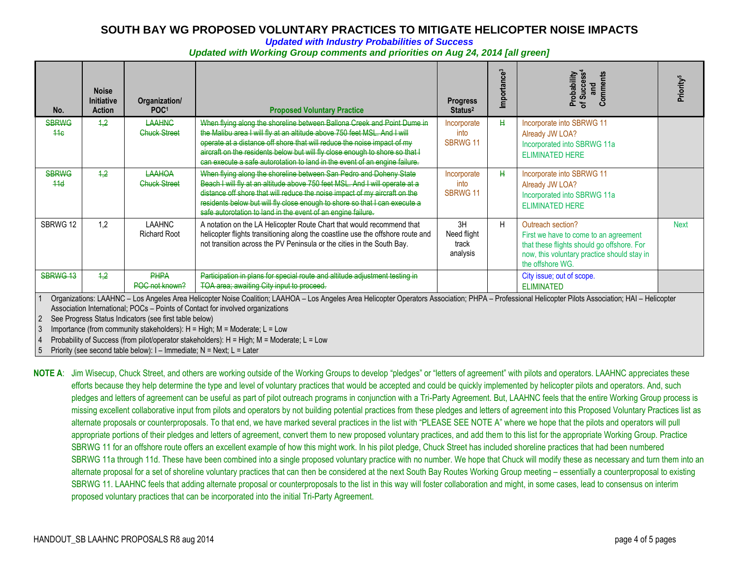#### *Updated with Industry Probabilities of Success*

#### *Updated with Working Group comments and priorities on Aug 24, 2014 [all green]*

| No.                                                                                                                                                                                                                                                                                                                                                                                                                                                                                                                                                                                                          | <b>Noise</b><br><b>Initiative</b><br><b>Action</b> | Organization/<br>POC <sup>1</sup>    | <b>Proposed Voluntary Practice</b>                                                                                                                                                                                                                                                                                                                                                           | <b>Progress</b><br>Status <sup>2</sup> | Importance <sup>3</sup> | of Success <sup>4</sup><br>Probability<br>Comments<br>and                                                                                                                   | Priority <sup>5</sup> |
|--------------------------------------------------------------------------------------------------------------------------------------------------------------------------------------------------------------------------------------------------------------------------------------------------------------------------------------------------------------------------------------------------------------------------------------------------------------------------------------------------------------------------------------------------------------------------------------------------------------|----------------------------------------------------|--------------------------------------|----------------------------------------------------------------------------------------------------------------------------------------------------------------------------------------------------------------------------------------------------------------------------------------------------------------------------------------------------------------------------------------------|----------------------------------------|-------------------------|-----------------------------------------------------------------------------------------------------------------------------------------------------------------------------|-----------------------|
| <b>SBRWG</b><br>44 <sub>6</sub>                                                                                                                                                                                                                                                                                                                                                                                                                                                                                                                                                                              | 4.2                                                | <b>LAAHNG</b><br><b>Chuck Street</b> | When flying along the shoreline between Ballona Creek and Point Dume in<br>the Malibu area I will fly at an altitude above 750 feet MSL. And I will<br>operate at a distance off shore that will reduce the noise impact of my<br>aircraft on the residents below but will fly close enough to shore so that I<br>can execute a safe autorotation to land in the event of an engine failure. | Incorporate<br>into<br><b>SBRWG 11</b> | Ħ                       | Incorporate into SBRWG 11<br>Already JW LOA?<br>Incorporated into SBRWG 11a<br><b>ELIMINATED HERE</b>                                                                       |                       |
| <b>SBRWG</b><br>44d                                                                                                                                                                                                                                                                                                                                                                                                                                                                                                                                                                                          | 4,2                                                | LAAHOA<br><b>Chuck Street</b>        | When flying along the shoreline between San Pedro and Doheny State<br>Beach I will fly at an altitude above 750 feet MSL. And I will operate at a<br>distance off shore that will reduce the noise impact of my aircraft on the<br>residents below but will fly close enough to shore so that I can execute a<br>safe autorotation to land in the event of an engine failure.                | Incorporate<br>into<br><b>SBRWG 11</b> | H                       | Incorporate into SBRWG 11<br>Already JW LOA?<br>Incorporated into SBRWG 11a<br><b>ELIMINATED HERE</b>                                                                       |                       |
| SBRWG 12                                                                                                                                                                                                                                                                                                                                                                                                                                                                                                                                                                                                     | 1,2                                                | <b>LAAHNC</b><br><b>Richard Root</b> | A notation on the LA Helicopter Route Chart that would recommend that<br>helicopter flights transitioning along the coastline use the offshore route and<br>not transition across the PV Peninsula or the cities in the South Bay.                                                                                                                                                           | 3H<br>Need flight<br>track<br>analysis | H                       | Outreach section?<br>First we have to come to an agreement<br>that these flights should go offshore. For<br>now, this voluntary practice should stay in<br>the offshore WG. | <b>Next</b>           |
| SBRWG 13<br>4,2<br><b>PHPA</b><br>Participation in plans for special route and altitude adjustment testing in<br>City issue; out of scope.<br>POC not known?<br>TOA area; awaiting City input to proceed.<br><b>ELIMINATED</b>                                                                                                                                                                                                                                                                                                                                                                               |                                                    |                                      |                                                                                                                                                                                                                                                                                                                                                                                              |                                        |                         |                                                                                                                                                                             |                       |
| Organizations: LAAHNC - Los Angeles Area Helicopter Noise Coalition; LAAHOA - Los Angeles Area Helicopter Operators Association; PHPA - Professional Helicopter Pilots Association; HAI - Helicopter<br>Association International; POCs - Points of Contact for involved organizations<br>See Progress Status Indicators (see first table below)<br>Importance (from community stakeholders): $H = High$ ; $M = Moderate$ ; $L = Low$<br>Probability of Success (from pilot/operator stakeholders): H = High; M = Moderate; L = Low<br>Priority (see second table below): I - Immediate; N = Next; L = Later |                                                    |                                      |                                                                                                                                                                                                                                                                                                                                                                                              |                                        |                         |                                                                                                                                                                             |                       |

**NOTE A**: Jim Wisecup, Chuck Street, and others are working outside of the Working Groups to develop "pledges" or "letters of agreement" with pilots and operators. LAAHNC appreciates these efforts because they help determine the type and level of voluntary practices that would be accepted and could be quickly implemented by helicopter pilots and operators. And, such pledges and letters of agreement can be useful as part of pilot outreach programs in conjunction with a Tri-Party Agreement. But, LAAHNC feels that the entire Working Group process is missing excellent collaborative input from pilots and operators by not building potential practices from these pledges and letters of agreement into this Proposed Voluntary Practices list as alternate proposals or counterproposals. To that end, we have marked several practices in the list with "PLEASE SEE NOTE A" where we hope that the pilots and operators will pull appropriate portions of their pledges and letters of agreement, convert them to new proposed voluntary practices, and add them to this list for the appropriate Working Group. Practice SBRWG 11 for an offshore route offers an excellent example of how this might work. In his pilot pledge, Chuck Street has included shoreline practices that had been numbered SBRWG 11a through 11d. These have been combined into a single proposed voluntary practice with no number. We hope that Chuck will modify these as necessary and turn them into an alternate proposal for a set of shoreline voluntary practices that can then be considered at the next South Bay Routes Working Group meeting – essentially a counterproposal to existing SBRWG 11. LAAHNC feels that adding alternate proposal or counterproposals to the list in this way will foster collaboration and might, in some cases, lead to consensus on interim proposed voluntary practices that can be incorporated into the initial Tri-Party Agreement.